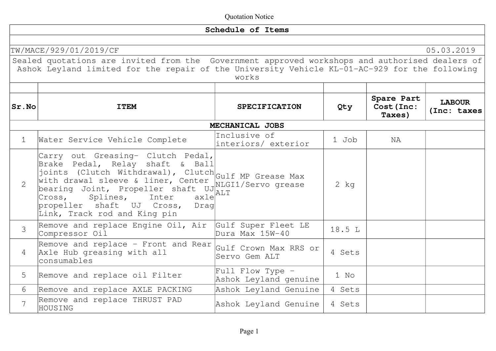|                |                                                                                                                                                                                                                                                                                                                                              | Schedule of Items                         |          |                                    |                              |
|----------------|----------------------------------------------------------------------------------------------------------------------------------------------------------------------------------------------------------------------------------------------------------------------------------------------------------------------------------------------|-------------------------------------------|----------|------------------------------------|------------------------------|
|                |                                                                                                                                                                                                                                                                                                                                              |                                           |          |                                    |                              |
|                | TW/MACE/929/01/2019/CF<br>Sealed quotations are invited from the Government approved workshops and authorised dealers of<br>Ashok Leyland limited for the repair of the University Vehicle KL-01-AC-929 for the following                                                                                                                    | works                                     |          |                                    | 05.03.2019                   |
| Sr.No          | <b>ITEM</b>                                                                                                                                                                                                                                                                                                                                  | <b>SPECIFICATION</b>                      | Qty      | Spare Part<br>Cost (Inc:<br>Taxes) | <b>LABOUR</b><br>(Inc: taxes |
|                |                                                                                                                                                                                                                                                                                                                                              | MECHANICAL JOBS                           |          |                                    |                              |
| $\mathbf 1$    | Water Service Vehicle Complete                                                                                                                                                                                                                                                                                                               | Inclusive of<br>interiors/ exterior       | 1 Job    | NA                                 |                              |
| $\overline{2}$ | Carry out Greasing- Clutch Pedal,<br>Brake Pedal, Relay shaft & Ball<br>Franc Icuil, Indianal), Clutch Gulf MP Grease Max<br>with drawal sleeve & liner, Center<br>bearing Joint, Propeller shaft UJRIGI1/Servo grease<br>$ax1e^{[ALT]}$<br>Inter<br>Cross,<br>Splines,<br>propeller shaft UJ Cross,<br>Draq<br>Link, Track rod and King pin |                                           | $2$ $kg$ |                                    |                              |
| $\mathcal{S}$  | Remove and replace Engine Oil, Air<br>Compressor Oil                                                                                                                                                                                                                                                                                         | Gulf Super Fleet LE<br>Dura Max 15W-40    | 18.5 L   |                                    |                              |
| 4              | Remove and replace - Front and Rear<br>Axle Hub greasing with all<br>consumables                                                                                                                                                                                                                                                             | Gulf Crown Max RRS or<br> Servo Gem ALT   | 4 Sets   |                                    |                              |
| 5              | Remove and replace oil Filter                                                                                                                                                                                                                                                                                                                | Full Flow Type -<br>Ashok Leyland genuine | 1 No     |                                    |                              |
| 6              | Remove and replace AXLE PACKING                                                                                                                                                                                                                                                                                                              | Ashok Leyland Genuine                     | 4 Sets   |                                    |                              |
| $\overline{7}$ | Remove and replace THRUST PAD<br>HOUSING                                                                                                                                                                                                                                                                                                     | Ashok Leyland Genuine                     | 4 Sets   |                                    |                              |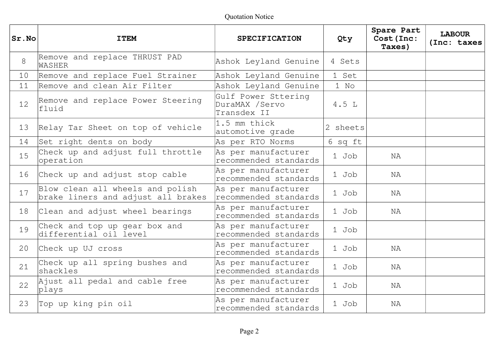| $ Sr $ . No | <b>ITEM</b>                                                            | <b>SPECIFICATION</b>                                 | Qty      | Spare Part<br>Cost (Inc:<br>Taxes) | <b>LABOUR</b><br>(Inc: taxes |
|-------------|------------------------------------------------------------------------|------------------------------------------------------|----------|------------------------------------|------------------------------|
| 8           | Remove and replace THRUST PAD<br>WASHER                                | Ashok Leyland Genuine                                | 4 Sets   |                                    |                              |
| 10          | Remove and replace Fuel Strainer                                       | Ashok Leyland Genuine                                | 1 Set    |                                    |                              |
| 11          | Remove and clean Air Filter                                            | Ashok Leyland Genuine                                | $1$ No   |                                    |                              |
| 12          | Remove and replace Power Steering<br>fluid                             | Gulf Power Sttering<br>DuraMAX /Servo<br>Transdex II | 4.5L     |                                    |                              |
| 13          | Relay Tar Sheet on top of vehicle                                      | 1.5 mm thick<br>automotive grade                     | 2 sheets |                                    |                              |
| 14          | Set right dents on body                                                | As per RTO Norms                                     | 6 sq ft  |                                    |                              |
| 15          | Check up and adjust full throttle<br>operation                         | As per manufacturer<br>recommended standards         | 1 Job    | ΝA                                 |                              |
| 16          | Check up and adjust stop cable                                         | As per manufacturer<br>recommended standards         | 1 Job    | NA                                 |                              |
| 17          | Blow clean all wheels and polish<br>brake liners and adjust all brakes | As per manufacturer<br>recommended standards         | 1 Job    | NA                                 |                              |
| 18          | Clean and adjust wheel bearings                                        | As per manufacturer<br>recommended standards         | 1 Job    | ΝA                                 |                              |
| 19          | Check and top up gear box and<br>differential oil level                | As per manufacturer<br>recommended standards         | 1 Job    |                                    |                              |
| 20          | Check up UJ cross                                                      | As per manufacturer<br>recommended standards         | 1 Job    | NA                                 |                              |
| 21          | Check up all spring bushes and<br>shackles                             | As per manufacturer<br>recommended standards         | 1 Job    | NA                                 |                              |
| 22          | Ajust all pedal and cable free<br>plays                                | As per manufacturer<br>recommended standards         | 1 Job    | NA                                 |                              |
| 23          | Top up king pin oil                                                    | As per manufacturer<br>recommended standards         | 1 Job    | ΝA                                 |                              |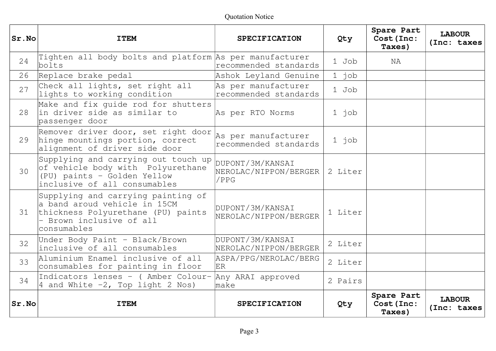| Sr.No | <b>ITEM</b>                                                                                                                                         | <b>SPECIFICATION</b>                              | Qty     | Spare Part<br>Cost (Inc:<br>Taxes) | <b>LABOUR</b><br>(Inc: taxes |
|-------|-----------------------------------------------------------------------------------------------------------------------------------------------------|---------------------------------------------------|---------|------------------------------------|------------------------------|
| 24    | Tighten all body bolts and platform As per manufacturer<br>bolts                                                                                    | recommended standards                             | 1 Job   | NA                                 |                              |
| 26    | Replace brake pedal                                                                                                                                 | Ashok Leyland Genuine                             | $1$ job |                                    |                              |
| 27    | Check all lights, set right all<br>lights to working condition                                                                                      | As per manufacturer<br>recommended standards      | 1 Job   |                                    |                              |
| 28    | Make and fix quide rod for shutters<br>lin driver side as similar to<br>passenger door                                                              | As per RTO Norms                                  | 1 job   |                                    |                              |
| 29    | Remover driver door, set right door<br>hinge mountings portion, correct<br>alignment of driver side door                                            | As per manufacturer<br>recommended standards      | $1$ job |                                    |                              |
| 30    | Supplying and carrying out touch up<br>of vehicle body with Polyurethane<br>(PU) paints - Golden Yellow<br>inclusive of all consumables             | DUPONT/3M/KANSAI<br>NEROLAC/NIPPON/BERGER<br>/PPG | 2 Liter |                                    |                              |
| 31    | Supplying and carrying painting of<br>a band aroud vehicle in 15CM<br>thickness Polyurethane (PU) paints<br>- Brown inclusive of all<br>consumables | DUPONT/3M/KANSAI<br>NEROLAC/NIPPON/BERGER         | 1 Liter |                                    |                              |
| 32    | Under Body Paint - Black/Brown<br>inclusive of all consumables                                                                                      | DUPONT/3M/KANSAI<br>NEROLAC/NIPPON/BERGER         | 2 Liter |                                    |                              |
| 33    | Aluminium Enamel inclusive of all<br>consumables for painting in floor                                                                              | ASPA/PPG/NEROLAC/BERG<br>ER                       | 2 Liter |                                    |                              |
| 34    | Indicators lenses - (Amber Colour-<br>4 and White $-2$ , Top light 2 Nos)                                                                           | Any ARAI approved<br>make                         | 2 Pairs |                                    |                              |
| Sr.No | <b>ITEM</b>                                                                                                                                         | <b>SPECIFICATION</b>                              | Qty     | Spare Part<br>Cost (Inc:<br>Taxes) | <b>LABOUR</b><br>(Inc: taxes |